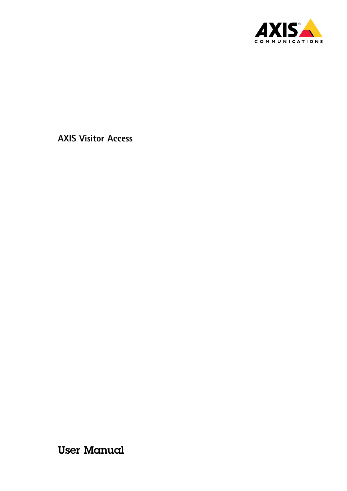

User Manual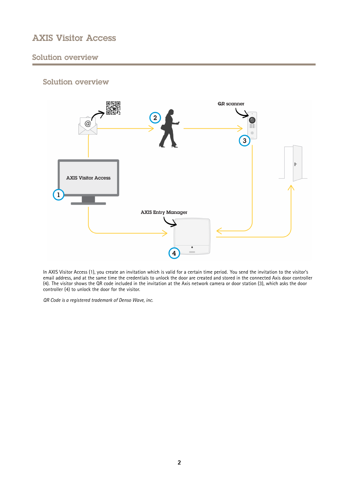## Solution overview

## Solution overview



In AXIS Visitor Access (1), you create an invitation which is valid for <sup>a</sup> certain time period. You send the invitation to the visitor's email address, and at the same time the credentials to unlock the door are created and stored in the connected Axis door controller (4). The visitor shows the QR code included in the invitation at the Axis network camera or door station (3), which asks the door controller (4) to unlock the door for the visitor.

*QR Code is <sup>a</sup> registered trademark of Denso Wave, inc.*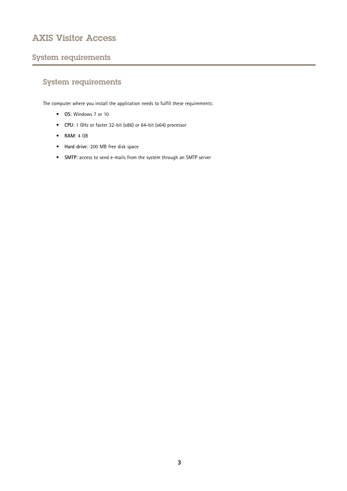## System requirements

# System requirements

The computer where you install the application needs to fulfill these requirements:

- **OS**: Windows 7 or 10
- **CPU**: <sup>1</sup> GHz or faster 32-bit (x86) or 64-bit (x64) processor
- **RAM**: 4 GB
- **Hard drive**: 200 MB free disk space
- **SMTP**: access to send e-mails from the system through an SMTP server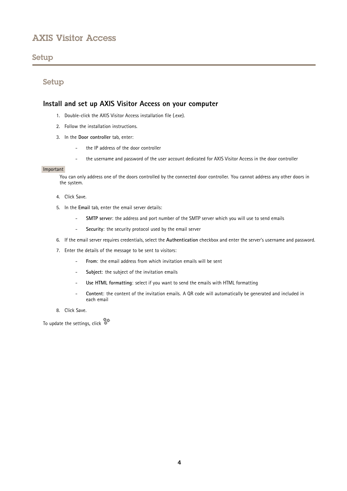### Setup

### Setup

### **Install and set up AXIS Visitor Access on your computer**

- 1. Double-click the AXIS Visitor Access installation file (.exe).
- 2. Follow the installation instructions.
- 3. In the **Door controller** tab, enter:
	- the IP address of the door controller
	- the username and password of the user account dedicated for AXIS Visitor Access in the door controller

#### Important

You can only address one of the doors controlled by the connected door controller. You cannot address any other doors in the system.

- 4. Click Save.
- 5. In the **Email** tab, enter the email server details:
	- **SMTP server**: the address and port number of the SMTP server which you will use to send emails
	- -**Security**: the security protocol used by the email server
- 6. If the email server requires credentials, select the **Authentication** checkbox and enter the server's username and password.
- 7. Enter the details of the message to be sent to visitors:
	- -**From**: the email address from which invitation emails will be sent
	- -**Subject**: the subject of the invitation emails
	- **Use HTML formatting**: select if you want to send the emails with HTML formatting
	- **Content**: the content of the invitation emails. A QR code will automatically be generated and included in each email
- 8. Click Save.

To update the settings, click 。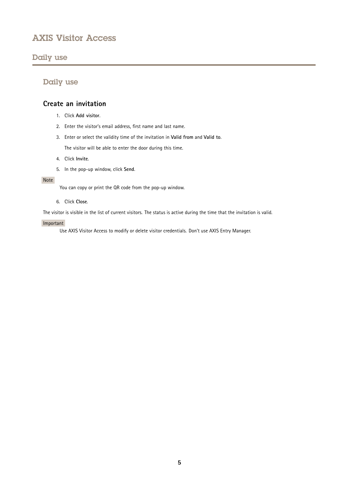### Daily use

## Daily use

### **Create an invitation**

- 1. Click **Add visitor**.
- 2. Enter the visitor's email address, first name and last name.
- 3. Enter or select the validity time of the invitation in **Valid from** and **Valid to**. The visitor will be able to enter the door during this time.

- 4. Click **Invite**.
- 5. In the pop-up window, click **Send**.

#### Note

You can copy or print the QR code from the pop-up window.

#### 6. Click **Close**.

The visitor is visible in the list of current visitors. The status is active during the time that the invitation is valid.

#### Important

Use AXIS Visitor Access to modify or delete visitor credentials. Don't use AXIS Entry Manager.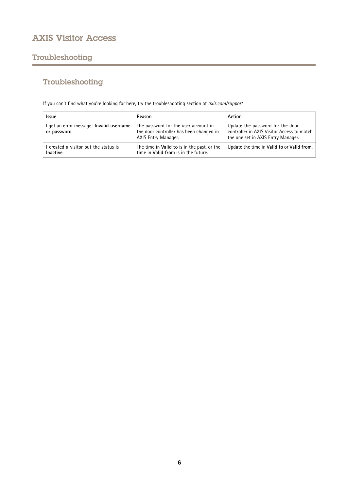## Troubleshooting

# Troubleshooting

If you can't find what you're looking for here, try the troubleshooting section at *[axis.com/support](https://www.axis.com/support)*

| <b>Issue</b>                                            | Reason                                                                                                 | Action                                                                                                               |
|---------------------------------------------------------|--------------------------------------------------------------------------------------------------------|----------------------------------------------------------------------------------------------------------------------|
| I get an error message: Invalid username<br>or password | The password for the user account in<br>the door controller has been changed in<br>AXIS Entry Manager. | Update the password for the door<br>controller in AXIS Visitor Access to match<br>the one set in AXIS Entry Manager. |
| I created a visitor but the status is<br>Inactive.      | The time in Valid to is in the past, or the<br>time in Valid from is in the future.                    | Update the time in Valid to or Valid from.                                                                           |